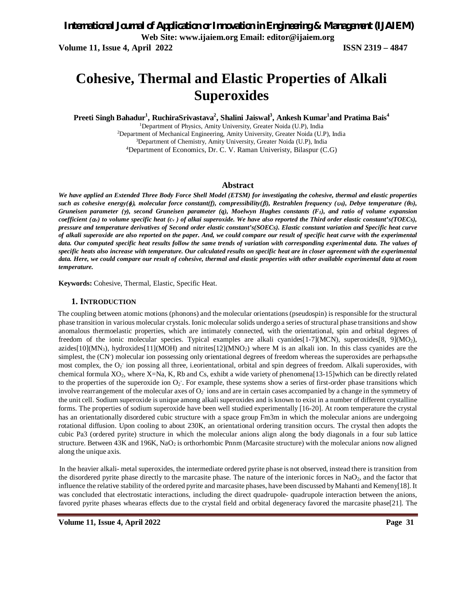# **Cohesive, Thermal and Elastic Properties of Alkali Superoxides**

**Preeti Singh Bahadur<sup>1</sup> , RuchiraSrivastava<sup>2</sup> , Shalini Jaiswal<sup>3</sup> , Ankesh Kumar<sup>1</sup> and Pratima Bais<sup>4</sup>**

Department of Physics, Amity University, Greater Noida (U.P), India <sup>2</sup>Department of Mechanical Engineering, Amity University, Greater Noida (U.P), India Department of Chemistry, Amity University, Greater Noida (U.P), India Department of Economics, Dr. C. V. Raman Univeristy, Bilaspur (C.G)

### **Abstract**

We have applied an Extended Three Body Force Shell Model (ETSM) for investigating the cohesive, thermal and elastic properties such as cohesive energy( $\phi$ ), molecular force constant(f), compressibility( $\beta$ ), Restrahlen frequency ( $\upsilon$ o), Debye temperature ( $\theta$ p), Gruneisen parameter  $(\gamma)$ , second Gruneisen parameter  $(q)$ , Moelwyn Hughes constants  $(F<sub>1</sub>)$ , and ratio of volume expansion coefficient  $(\alpha)$  to volume specific heat  $(c)$  of alkai superoxide. We have also reported the Third order elastic constant's(TOECs), pressure and temperature derivatives of Second order elastic constant's(SOECs). Elastic constant variation and Specific heat curve of alkali superoxide are also reported on the paper. And, we could compare our result of specific heat curve with the experimental data. Our computed specific heat results follow the same trends of variation with corresponding experimental data. The values of specific heats also increase with temperature. Our calculated results on specific heat are in closer agreement with the experimental data. Here, we could compare our result of cohesive, thermal and elastic properties with other available experimental data at room *temperature.*

**Keywords:** Cohesive, Thermal, Elastic, Specific Heat.

#### **1. INTRODUCTION**

The coupling between atomic motions (phonons) and the molecular orientations (pseudospin) is responsible for the structural phase transition in various molecular crystals. Ionic molecular solids undergo a series of structural phase transitions and show anomalous thermoelastic properties, which are intimately connected, with the orientational, spin and orbital degrees of freedom of the ionic molecular species. Typical examples are alkali cyanides[1-7](MCN), superoxides[8, 9](MO2), azides[10]( $MN_3$ ), hydroxides[11]( $MOH$ ) and nitrites[12]( $MNO_2$ ) where M is an alkali ion. In this class cyanides are the simplest, the (CN<sup>-</sup>) molecular ion possessing only orientational degrees of freedom whereas the superoxides are perhapsxthe most complex, the  $O_2$  ion possing all three, i.eorientational, orbital and spin degrees of freedom. Alkali superoxides, with chemical formula XO2, where X=Na, K, Rb and Cs, exhibt a wide variety of phenomena[13-15]which can be directly related to the properties of the superoxide ion  $O_2$ . For example, these systems show a series of first-order phase transitions which involve rearrangement of the molecular axes of  $O_2$  ions and are in certain cases accompanied by a change in the symmetry of the unit cell. Sodium superoxide is unique among alkali superoxides and is known to exist in a number of different crystalline forms. The properties of sodium superoxide have been well studied experimentally [16-20]. At room temperature the crystal has an orientationally disordered cubic structure with a space group Fm3m in which the molecular anions are undergoing rotational diffusion. Upon cooling to about 230K, an orientational ordering transition occurs. The crystal then adopts the cubic Pa3 (ordered pyrite) structure in which the molecular anions align along the body diagonals in a four sub lattice structure. Between  $43K$  and  $196K$ ,  $NaO<sub>2</sub>$  is orthorhombic Pnnm (Marcasite structure) with the molecular anions now aligned along the unique axis.

In the heavier alkali- metal superoxides, the intermediate ordered pyrite phase is not observed, instead there is transition from the disordered pyrite phase directly to the marcasite phase. The nature of the interionic forces in  $NaO<sub>2</sub>$ , and the factor that influence the relative stability of the ordered pyrite and marcasite phases, have been discussed byMahanti and Kemeny[18]. It was concluded that electrostatic interactions, including the direct quadrupole- quadrupole interaction between the anions, favored pyrite phases whearas effects due to the crystal field and orbital degeneracy favored the marcasite phase[21]. The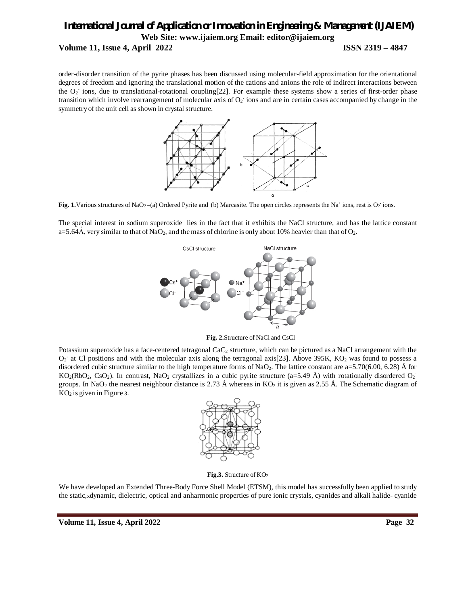### *International Journal of Application or Innovation in Engineering & Management (IJAIEM)* **Web Site: www.ijaiem.org Email: editor@ijaiem.org Volume 11, Issue 4, April 2022 ISSN 2319 – 4847**

order-disorder transition of the pyrite phases has been discussed using molecular-field approximation for the orientational degrees of freedom and ignoring the translational motion of the cations and anions the role of indirect interactions between the  $O_2$  ions, due to translational-rotational coupling[22]. For example these systems show a series of first-order phase transition which involve rearrangement of molecular axis of  $O<sub>2</sub>$  ions and are in certain cases accompanied by change in the symmetry of the unit cell asshown in crystal structure.



Fig. 1. Various structures of NaO<sub>2</sub> $-(a)$  Ordered Pyrite and (b) Marcasite. The open circles represents the Na<sup>+</sup> ions, rest is O<sub>2</sub> ions.

The special interest in sodium superoxide lies in the fact that it exhibits the NaCl structure, and has the lattice constant a=5.64A, very similar to that of NaO<sub>2</sub>, and the mass of chlorine is only about 10% heavier than that of O<sub>2</sub>.



**Fig. 2.**Structure of NaCl and CsCl

Potassium superoxide has a face-centered tetragonal CaC<sub>2</sub> structure, which can be pictured as a NaCl arrangement with the  $O_2$  at Cl positions and with the molecular axis along the tetragonal axis[23]. Above 395K, KO<sub>2</sub> was found to possess a disordered cubic structure similar to the high temperature forms of NaO<sub>2</sub>. The lattice constant are  $a=5.70(6.00, 6.28)$  Å for  $KO<sub>2</sub>(RbO<sub>2</sub>, CsO<sub>2</sub>)$ . In contrast, NaO<sub>2</sub> crystallizes in a cubic pyrite structure (a=5.49 Å) with rotationally disordered O<sub>2</sub> groups. In NaO<sub>2</sub> the nearest neighbour distance is 2.73 Å whereas in KO<sub>2</sub> it is given as 2.55 Å. The Schematic diagram of  $KO<sub>2</sub>$  is given in Figure 3.



**Fig.3.** Structure of KO<sup>2</sup>

We have developed an Extended Three-Body Force Shell Model (ETSM), this model has successfully been applied to study the static,xdynamic, dielectric, optical and anharmonic properties of pure ionic crystals, cyanides and alkali halide- cyanide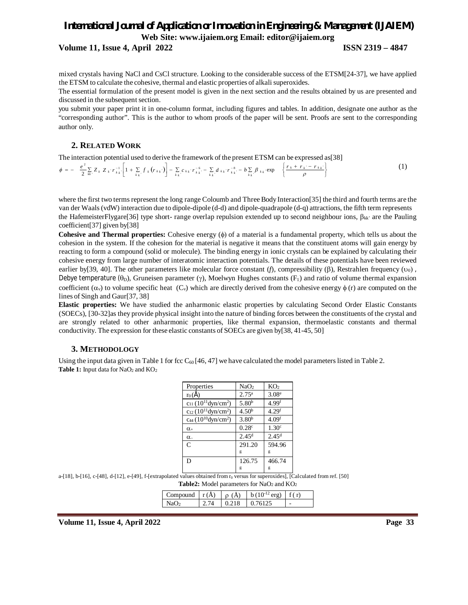**Volume 11, Issue 4, April 2022 ISSN 2319 – 4847**

mixed crystals having NaCl and CsCl structure. Looking to the considerable success of the ETSM[24-37], we have applied the ETSM to calculate the cohesive, thermal and elastic properties of alkali superoxides.

The essential formulation of the present model is given in the next section and the results obtained by us are presented and discussed in the subsequent section.

you submit your paper print it in one-column format, including figures and tables. In addition, designate one author as the "corresponding author". This is the author to whom proofs of the paper will be sent. Proofs are sent to the corresponding author only.

### **2. RELATED WORK**

The interaction potential used to derive the framework of the present ETSM can be expressed as[38]

$$
\phi = -\frac{e^2}{2} \sum_{kk'} Z_k Z_k r_{kk'}^{-1} \left[ 1 + \sum_{k,k'} f_k (r_{kk'}) \right] - \sum_{k,k'} c_{kk'} r_{kk'}^{-6} - \sum_{k,k'} d_{kk'} r_{kk'}^{-8} - b \sum_{k,k'} \beta_{kk'} \exp \left\{ \frac{r_k + r_{k'} - r_{kk'}}{\rho} \right\} \tag{1}
$$

where the first two terms represent the long range Coloumb and Three Body Interaction[35] the third and fourth terms are the van der Waals (vdW) interaction due to dipole-dipole (d-d) and dipole-quadrapole (d-q) attractions, the fifth term represents the HafemeisterFlygare[36] type short- range overlap repulsion extended up to second neighbour ions,  $\beta_{kk'}$  are the Pauling coefficient[37] given by[38]

**Cohesive and Thermal properties:** Cohesive energy ( $\phi$ ) of a material is a fundamental property, which tells us about the cohesion in the system. If the cohesion for the material is negative it means that the constituent atoms will gain energy by reacting to form a compound (solid or molecule). The binding energy in ionic crystals can be explained by calculating their cohesive energy from large number of interatomic interaction potentials. The details of these potentials have been reviewed earlier by [39, 40]. The other parameters like molecular force constant  $(f)$ , compressibility  $(\beta)$ , Restrahlen frequency  $(v_0)$ , Debye temperature ( $\theta_{D}$ ), Gruneisen parameter ( $\gamma$ ), Moelwyn Hughes constants ( $F_1$ ) and ratio of volume thermal expansion coefficient  $(\alpha_v)$  to volume specific heat (C<sub>v</sub>) which are directly derived from the cohesive energy  $\phi$  (r) are computed on the lines of Singh and Gaur[37, 38]

**Elastic properties:** We have studied the anharmonic elastic properties by calculating Second Order Elastic Constants (SOECs), [30-32]as they provide physical insight into the nature of binding forces between the constituents of the crystal and are strongly related to other anharmonic properties, like thermal expansion, thermoelastic constants and thermal conductivity. The expression for these elastic constants of SOECs are given by[38, 41-45, 50]

### **3. METHODOLOGY**

Using the input data given in Table 1 for fcc  $C_{60}$  [46, 47] we have calculated the model parameters listed in Table 2. **Table 1:** Input data for NaO<sub>2</sub> and KO<sub>2</sub>

| Properties                                       | NaO <sub>2</sub>  | KO <sub>2</sub>   |
|--------------------------------------------------|-------------------|-------------------|
| $r_0(\AA)$                                       | $2.75^{\rm a}$    | 3.08 <sup>e</sup> |
| $c_{11}$ (10 <sup>11</sup> dyn/cm <sup>2</sup> ) | 5.80 <sup>b</sup> | 4.99 <sup>f</sup> |
| $c_{12}$ (10 <sup>11</sup> dyn/cm <sup>2</sup> ) | 4.50 <sup>b</sup> | 4.29 <sup>f</sup> |
| $ca4 (10^{10} dyn/cm^2)$                         | 3.80 <sup>b</sup> | 4.09 <sup>f</sup> |
| $\alpha$                                         | 0.28c             | 1.30 <sup>c</sup> |
| $\alpha$                                         | 2.45 <sup>d</sup> | 2.45 <sup>d</sup> |
| C                                                | 291.20            | 594.96            |
|                                                  | g                 | g                 |
| D                                                | 126.75            | 466.74            |
|                                                  | g                 | g                 |

a-[18], b-[16], c-[48], d-[12], e-[49], f-[extrapolated values obtained from r<sub>0</sub> versus for superoxides], [Calculated from ref. [50] Table2: Model parameters for NaO<sub>2</sub> and KO<sub>2</sub>

| 'ompound ∣r(A) ∣ | (A)   | $h(10^{-12} \text{ erg})$ | f(r) |
|------------------|-------|---------------------------|------|
|                  | 0.218 | 0.76125                   | -    |

**Volume 11, Issue 4, April 2022 Page 33**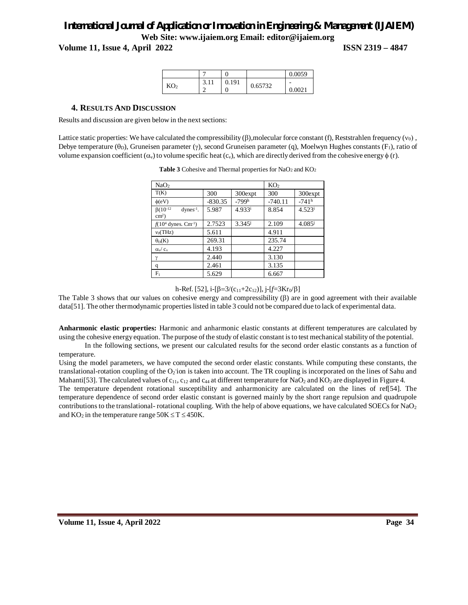**Volume 11, Issue 4, April 2022 ISSN 2319 – 4847**

|                 |              |     |         | 0.0059                             |
|-----------------|--------------|-----|---------|------------------------------------|
| KO <sub>2</sub> | $\sim$<br>11 | 191 | 0.65732 | $\overline{\phantom{0}}$<br>0.0021 |

### **4. RESULTS AND DISCUSSION**

Results and discussion are given below in the next sections:

Lattice static properties: We have calculated the compressibility  $(\beta)$ , molecular force constant (f), Reststrahlen frequency ( $\nu_0$ ), Debye temperature ( $\theta$ <sub>D</sub>), Gruneisen parameter ( $\gamma$ ), second Gruneisen parameter (q), Moelwyn Hughes constants (F<sub>1</sub>), ratio of volume expansion coefficient  $(\alpha_v)$  to volume specific heat  $(c_v)$ , which are directly derived from the cohesive energy  $\phi$  (r).

| NaO <sub>2</sub>                                      |           |             | KO <sub>2</sub> |                      |
|-------------------------------------------------------|-----------|-------------|-----------------|----------------------|
| T(K)                                                  | 300       | 300expt     | 300             | 300expt              |
| $\phi$ (eV)                                           | $-830.35$ | $-799h$     | $-740.11$       | $-741$ <sup>h</sup>  |
| $\beta(10^{-12}$<br>$dynes^{-1}$ .<br>$\text{cm}^2$ ) | 5.987     | $4.933^{i}$ | 8.854           | $4.523$ <sup>i</sup> |
| $f(10^4$ dynes. Cm <sup>-1</sup> )                    | 2.7523    | $3.345^{j}$ | 2.109           | $4.085^{j}$          |
| $v_0$ (THz)                                           | 5.611     |             | 4.911           |                      |
| $\theta_D(K)$                                         | 269.31    |             | 235.74          |                      |
| $\alpha_{v}/c_{v}$                                    | 4.193     |             | 4.227           |                      |
| $\gamma$                                              | 2.440     |             | 3.130           |                      |
| q                                                     | 2.461     |             | 3.135           |                      |
| $F_1$                                                 | 5.629     |             | 6.667           |                      |

**Table 3** Cohesive and Thermal properties for NaO<sub>2</sub> and KO<sub>2</sub>

### h-Ref. [52],  $i$ -[ $\beta$ =3/(c<sub>11</sub>+2c<sub>12</sub>)],  $j$ -[ $f$ =3Kr<sub>0</sub>/ $\beta$ ]

The Table 3 shows that our values on cohesive energy and compressibility  $(\beta)$  are in good agreement with their available data[51]. The other thermodynamic properties listed in table 3 could not be compared due to lack of experimental data.

**Anharmonic elastic properties:** Harmonic and anharmonic elastic constants at different temperatures are calculated by using the cohesive energy equation. The purpose ofthe study of elastic constant isto test mechanical stability of the potential.

In the following sections, we present our calculated results for the second order elastic constants as a function of temperature.

Using the model parameters, we have computed the second order elastic constants. While computing these constants, the translational-rotation coupling of the  $O_2$  ion is taken into account. The TR coupling is incorporated on the lines of Sahu and Mahanti[53]. The calculated values of  $c_{11}$ ,  $c_{12}$  and  $c_{44}$  at different temperature for NaO<sub>2</sub> and KO<sub>2</sub> are displayed in Figure 4. The temperature dependent rotational susceptibility and anharmonicity are calculated on the lines of ref[54]. The temperature dependence of second order elastic constant is governed mainly by the short range repulsion and quadrupole contributions to the translational- rotational coupling. With the help of above equations, we have calculated SOECs for NaO<sub>2</sub> and  $KO_2$  in the temperature range  $50K \le T \le 450K$ .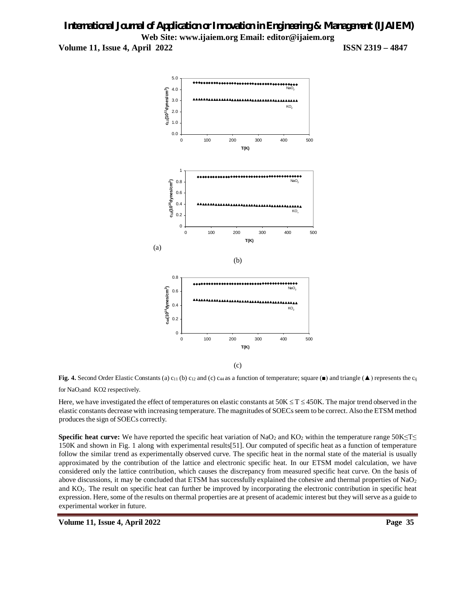



Here, we have investigated the effect of temperatures on elastic constants at  $50K \le T \le 450K$ . The major trend observed in the elastic constants decrease with increasing temperature. The magnitudes of SOECsseem to be correct. Also the ETSM method produces the sign of SOECs correctly.

**Specific heat curve:** We have reported the specific heat variation of NaO<sub>2</sub> and KO<sub>2</sub> within the temperature range 50K≤T≤ 150K and shown in Fig. 1 along with experimental results[51]. Our computed of specific heat as a function of temperature follow the similar trend as experimentally observed curve. The specific heat in the normal state of the material is usually approximated by the contribution of the lattice and electronic specific heat. In our ETSM model calculation, we have considered only the lattice contribution, which causes the discrepancy from measured specific heat curve. On the basis of above discussions, it may be concluded that ETSM has successfully explained the cohesive and thermal properties of  $NaO<sub>2</sub>$ and KO2. The result on specific heat can further be improved by incorporating the electronic contribution in specific heat expression. Here, some of the results on thermal properties are at present of academic interest but they will serve as a guide to experimental worker in future.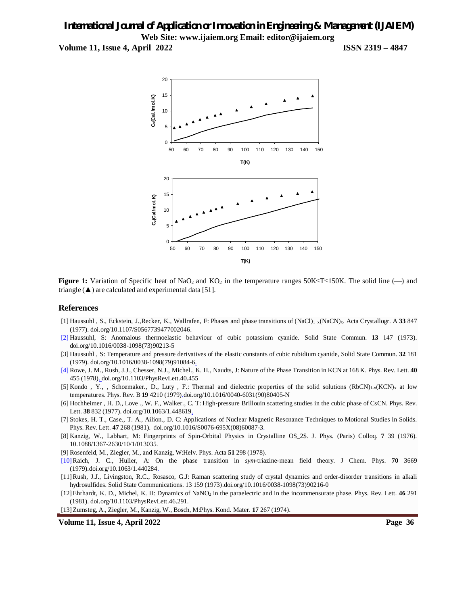**Volume 11, Issue 4, April 2022 ISSN 2319 – 4847**



**Figure 1:** Variation of Specific heat of NaO<sub>2</sub> and KO<sub>2</sub> in the temperature ranges 50K $\leq$ T $\leq$ 150K. The solid line ( $\rightarrow$ ) and triangle  $(\triangle)$  are calculated and experimental data [51].

### **References**

- [1] Haussuhl , S., Eckstein, J.,Recker, K., Wallrafen, F: Phases and phase transitions of (NaCl)1−x(NaCN)x. Acta Crystallogr. A **33** 847 (1977). doi.org/10.1107/S0567739477002046.
- [2] Haussuhl, S: Anomalous thermoelastic behaviour of cubic potassium cyanide. Solid State Commun. **13** 147 (1973). doi.org/10.1016/0038-1098(73)90213-5
- [3] Haussuhl , S: Temperature and pressure derivatives of the elastic constants of cubic rubidium cyanide, Solid State Commun. **32** 181 (1979). doi.org/10.1016/0038-1098(79)91084-6.
- [4] Rowe, J. M., Rush, J.J., Chesser, N.J., Michel., K. H., Naudts, J: Nature of the Phase Transition in KCN at 168 K. Phys. Rev. Lett. **40** 455 (1978). doi.org/10.1103/PhysRevLett.40.455
- [5] Kondo, Y., , Schoemaker., D., Luty, F.: Thermal and dielectric properties of the solid solutions  $(RbCN)_{1-x} (KCN)_x$  at low temperatures. Phys. Rev. B **19** 4210 (1979).doi.org/10.1016/0040-6031(90)80405-N
- [6] Hochheimer , H. D., Love ., W. F., Walker., C. T: High‐pressure Brillouin scattering studies in the cubic phase of CsCN. Phys. Rev. Lett. **38** 832 (1977). doi.org/10.1063/1.448619.
- [7] Stokes, H. T., Case., T. A., Ailion., D. C: Applications of Nuclear Magnetic Resonance Techniques to Motional Studies in Solids. Phys. Rev. Lett. 47 268 (1981). doi.org/10.1016/S0076-695X(08)60087-3.
- [8] Kanzig, W., Labhart, M: Fingerprints of Spin-Orbital Physics in Crystalline O\$\_2\$. J. Phys. (Paris) Colloq. **7** 39 (1976). 10.1088/1367-2630/10/1/013035.
- [9] Rosenfeld, M., Ziegler, M., and Kanzig, W:Helv. Phys. Acta **51** 298 (1978).
- [10]Raich, J. C., Huller, A: On the phase transition in *sym*‐triazine‐mean field theory. J Chem. Phys. **70** 3669 (1979).doi.org/10.1063/1.440284.
- [11]Rush, J.J., Livingston, R.C., Rosasco, G.J: Raman scattering study of crystal dynamics and order-disorder transitions in alkali hydrosulfides. Solid State Communications. 13 159 (1973).doi.org/10.1016/0038-1098(73)90216-0
- [12]Ehrhardt, K. D., Michel, K. H: Dynamics of NaNO<sup>2</sup> in the paraelectric and in the incommensurate phase. Phys. Rev. Lett. **46** 291 (1981). doi.org/10.1103/PhysRevLett.46.291.
- [13]Zumsteg, A., Ziegler, M., Kanzig, W., Bosch, M:Phys. Kond. Mater. **17** 267 (1974).

**Volume 11, Issue 4, April 2022 Page 36**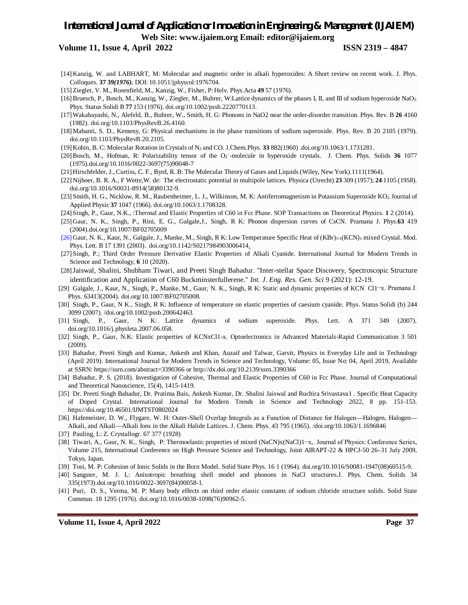**Volume 11, Issue 4, April 2022 ISSN 2319 – 4847**

- [14] Kanzig, W. and LABHART, M: Molecular and magnetic order in alkali hyperoxides: A Short review on recent work. J. Phys. Colloques*.* **37 39***(1976).* DOI: 10.1051/jphyscol:1976704.
- [15]Ziegler, V. M., Rosenfield, M., Kanzig, W., Fisher, P: Helv. Phys.Acta **49** 57 (1976).
- [16]Bruesch, P., Bosch, M., Kanzig, W., Ziegler, M., Buhrer, W:Lattice dynamics of the phases I, II, and III of sodium hyperoxide NaO2. Phys. Status Solidi B **77** 153 (1976). doi.org/10.1002/pssb.2220770113.
- [17]Wakabayashi, N., Alefeld, B., Buhrer, W., Smith, H. G: Phonons in NaO2 near the order-disorder transition. Phys. Rev. B **26** 4160 (1982). doi.org/10.1103/PhysRevB.26.4160.
- [18]Mahanti, S. D., Kemeny, G: Physical mechanisms in the phase transitions of sodium superoxide. Phys. Rev. B 20 2105 (1979). doi.org/10.1103/PhysRevB.20.2105.
- [19] Kohin, B. C: Molecular Rotation in Crystals of N<sup>2</sup> and CO. J.Chem.Phys. **33** 882(1960) .doi.org/10.1063/1.1731281.
- [20]Bosch, M., Hofman, R: Polarizability tensor of the O<sup>2</sup> − -molecule in hyperoxide crystals. J. Chem. Phys. Solids **36** 1077 (1975).doi.org/10.1016/0022-3697(75)90048-7
- [21] Hirschfelder, J., Curtiss, C. F., Byrd, R. B: The Molecular Theory of Gases and Liquids (Wiley, New York).1111(1964).
- [22] Nijboer, B. R. A., F Wette,W. de: The electrostatic potential in multipole lattices. Physica (Utrecht) **23** 309 (1957); **24** 1105 (1958). doi.org/10.1016/S0031-8914(58)80132-9.
- [23] Smith, H. G., Nicklow, R. M., Raubenheimer, L. J., Wilkinson, M. K: Antiferromagnetism in Potassium Superoxide KO2.Journal of Applied Physic **37** 1047 (1966). doi.org/10.1063/1.1708328.
- [24] Singh, P., Gaur, N.K., :Thermal and Elastic Properties of C60 in Fcc Phase. SOP Transactions on Theoretical Physics. **1** 2 (2014).
- [25] Gaur, N. K., Singh, P., Rini, E. G., Galgale,J., Singh, R K: Phonon dispersion curves of CsCN. Pramana J. Phys.**63** 419 (2004).doi.org/10.1007/BF02705009
- [26] Gaur, N. K., Kaur, N., Galgale, J., Manke, M., Singh, R K: Low Temperature Specific Heat of (KBr)<sub>1-x</sub>(KCN)<sub>x</sub> mixed Crystal. Mod. Phys. Lett. B 17 1391 (2003). doi.org/10.1142/S0217984903006414.
- [27] Singh, P.; Third Order Pressure Derivative Elastic Properties of Alkali Cyanide. International Journal for Modern Trends in Science and Technology, **6** 10 (2020).
- [28]Jaiswal, Shalini, Shubham Tiwari, and Preeti Singh Bahadur. "Inter-stellar Space Discovery, Spectroscopic Structure identification and Application of C60 Buckminsterfullerene." *Int. J. Eng. Res. Gen. Sci* 9 (2021): 12-19.
- [29] Galgale, J., Kaur, N., Singh, P., Manke, M., Gaur, N. K., Singh, R K: Static and dynamic properties of KCN Cl1−x. Pramana J. Phys. 63413(2004). doi.org/10.1007/BF02705008.
- [30] Singh, P., Gaur, N K., Singh, R K: Influence of temperature on elastic properties of caesium cyanide. Phys. Status Solidi (b) 244 3099 (2007). /doi.org/10.1002/pssb.200642463.
- [31] Singh, P., Gaur, N K: Lattice dynamics of sodium superoxide. Phys. Lett. A 371 349 (2007). doi.org/10.1016/j.physleta.2007.06.058.
- [32] Singh, P., Gaur, N.K: Elastic properties of KCNxCl1-x. Optoelectronics in Advanced Materials-Rapid Communication 3 501 (2009).
- [33] Bahadur, Preeti Singh and Kumar, Ankesh and Khan, Auzaif and Talwar, Garvit, Physics in Everyday Life and in Technology (April 2019). International Journal for Modern Trends in Science and Technology, Volume: 05, Issue No: 04, April 2019, Available at SSRN: https://ssrn.com/abstract=3390366 or http://dx.doi.org/10.2139/ssrn.3390366
- [34] Bahadur, P. S. (2018). Investigation of Cohesive, Thermal and Elastic Properties of C60 in Fcc Phase. Journal of Computational and Theoretical Nanoscience, 15(4), 1415-1419.
- [35] Dr. Preeti Singh Bahadur, Dr. Pratima Bais, Ankesh Kumar, Dr. Shalini Jaiswal and Ruchira Srivastava1 . Specific Heat Capacity of Doped Crystal. International Journal for Modern Trends in Science and Technology 2022, 8 pp. 151-153. https://doi.org/10.46501/IJMTST0802024
- [36] Hafemeister, D. W., Flygare, W. H: Outer-Shell Overlap Integrals as a Function of Distance for Halogen-Halogen, Halogen-Alkali, and Alkali—Alkali Ions in the Alkali Halide Lattices. J. Chem. Phys. 43 795 (1965). /doi.org/10.1063/1.1696846
- [37] Pauling, L: Z. Crystallogr. 67 377 (1928)
- [38] Tiwari, A., Gaur, N. K., Singh, P: Thermoelastic properties of mixed (NaCN)x(NaCl)1−x,. Journal of Physics: Conference Series, Volume 215, International Conference on High Pressure Science and Technology, Joint AIRAPT-22 & HPCJ-50 26–31 July 2009, Tokyo, Japan.
- [39] Tosi, M. P: Cohesion of Ionic Solids in the Born Model. Solid State Phys. 16 1 (1964). doi.org/10.1016/S0081-1947(08)60515-9.
- [40] Sangster, M. J. L: Anisotropic breathing shell model and phonons in NaCl structures.J. Phys. Chem. Solids 34 335(1973).doi.org/10.1016/0022-3697(84)90058-1.
- [41] Puri, D. S., Verma, M. P: Many body effects on third order elastic constants of sodium chloride structure solids. Solid State Commun. 18 1295 (1976). doi.org/10.1016/0038-1098(76)90962-5.

**Volume 11, Issue 4, April 2022 Page 37**